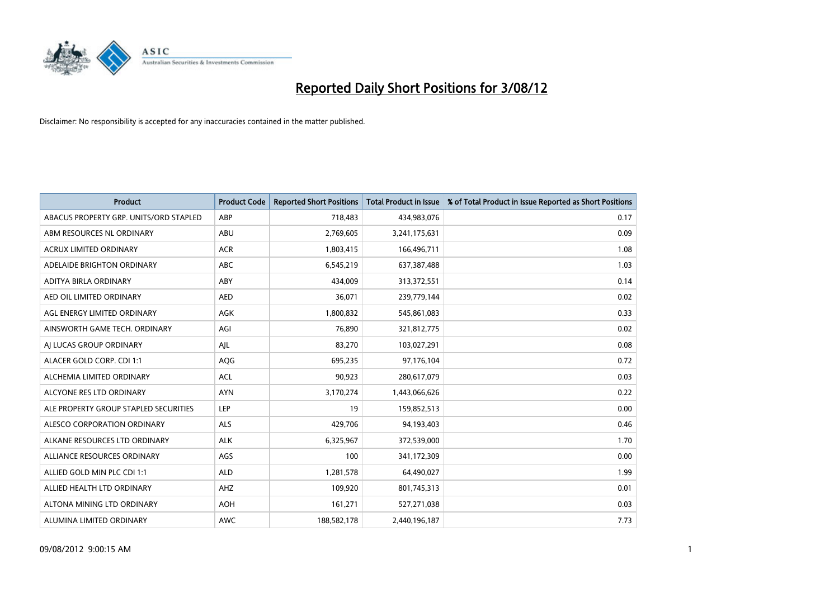

| <b>Product</b>                         | <b>Product Code</b> | <b>Reported Short Positions</b> | <b>Total Product in Issue</b> | % of Total Product in Issue Reported as Short Positions |
|----------------------------------------|---------------------|---------------------------------|-------------------------------|---------------------------------------------------------|
| ABACUS PROPERTY GRP. UNITS/ORD STAPLED | ABP                 | 718,483                         | 434,983,076                   | 0.17                                                    |
| ABM RESOURCES NL ORDINARY              | ABU                 | 2,769,605                       | 3,241,175,631                 | 0.09                                                    |
| ACRUX LIMITED ORDINARY                 | <b>ACR</b>          | 1,803,415                       | 166,496,711                   | 1.08                                                    |
| ADELAIDE BRIGHTON ORDINARY             | <b>ABC</b>          | 6,545,219                       | 637,387,488                   | 1.03                                                    |
| ADITYA BIRLA ORDINARY                  | ABY                 | 434,009                         | 313,372,551                   | 0.14                                                    |
| AED OIL LIMITED ORDINARY               | <b>AED</b>          | 36,071                          | 239,779,144                   | 0.02                                                    |
| AGL ENERGY LIMITED ORDINARY            | AGK                 | 1,800,832                       | 545,861,083                   | 0.33                                                    |
| AINSWORTH GAME TECH. ORDINARY          | AGI                 | 76.890                          | 321,812,775                   | 0.02                                                    |
| AI LUCAS GROUP ORDINARY                | AJL                 | 83,270                          | 103,027,291                   | 0.08                                                    |
| ALACER GOLD CORP. CDI 1:1              | <b>AQG</b>          | 695,235                         | 97,176,104                    | 0.72                                                    |
| ALCHEMIA LIMITED ORDINARY              | <b>ACL</b>          | 90,923                          | 280,617,079                   | 0.03                                                    |
| ALCYONE RES LTD ORDINARY               | <b>AYN</b>          | 3,170,274                       | 1,443,066,626                 | 0.22                                                    |
| ALE PROPERTY GROUP STAPLED SECURITIES  | LEP                 | 19                              | 159,852,513                   | 0.00                                                    |
| ALESCO CORPORATION ORDINARY            | <b>ALS</b>          | 429,706                         | 94,193,403                    | 0.46                                                    |
| ALKANE RESOURCES LTD ORDINARY          | <b>ALK</b>          | 6,325,967                       | 372,539,000                   | 1.70                                                    |
| ALLIANCE RESOURCES ORDINARY            | AGS                 | 100                             | 341,172,309                   | 0.00                                                    |
| ALLIED GOLD MIN PLC CDI 1:1            | <b>ALD</b>          | 1,281,578                       | 64,490,027                    | 1.99                                                    |
| ALLIED HEALTH LTD ORDINARY             | AHZ                 | 109,920                         | 801,745,313                   | 0.01                                                    |
| ALTONA MINING LTD ORDINARY             | <b>AOH</b>          | 161,271                         | 527,271,038                   | 0.03                                                    |
| ALUMINA LIMITED ORDINARY               | <b>AWC</b>          | 188,582,178                     | 2,440,196,187                 | 7.73                                                    |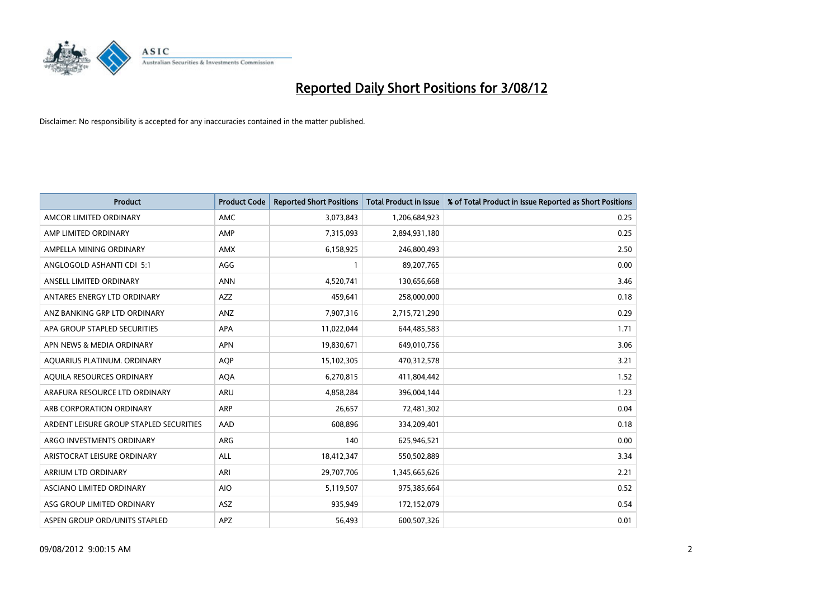

| <b>Product</b>                          | <b>Product Code</b> | <b>Reported Short Positions</b> | <b>Total Product in Issue</b> | % of Total Product in Issue Reported as Short Positions |
|-----------------------------------------|---------------------|---------------------------------|-------------------------------|---------------------------------------------------------|
| AMCOR LIMITED ORDINARY                  | <b>AMC</b>          | 3,073,843                       | 1,206,684,923                 | 0.25                                                    |
| AMP LIMITED ORDINARY                    | AMP                 | 7,315,093                       | 2,894,931,180                 | 0.25                                                    |
| AMPELLA MINING ORDINARY                 | <b>AMX</b>          | 6,158,925                       | 246,800,493                   | 2.50                                                    |
| ANGLOGOLD ASHANTI CDI 5:1               | AGG                 |                                 | 89,207,765                    | 0.00                                                    |
| ANSELL LIMITED ORDINARY                 | <b>ANN</b>          | 4,520,741                       | 130,656,668                   | 3.46                                                    |
| ANTARES ENERGY LTD ORDINARY             | <b>AZZ</b>          | 459,641                         | 258,000,000                   | 0.18                                                    |
| ANZ BANKING GRP LTD ORDINARY            | <b>ANZ</b>          | 7,907,316                       | 2,715,721,290                 | 0.29                                                    |
| APA GROUP STAPLED SECURITIES            | <b>APA</b>          | 11,022,044                      | 644,485,583                   | 1.71                                                    |
| APN NEWS & MEDIA ORDINARY               | <b>APN</b>          | 19,830,671                      | 649,010,756                   | 3.06                                                    |
| AQUARIUS PLATINUM. ORDINARY             | <b>AOP</b>          | 15,102,305                      | 470,312,578                   | 3.21                                                    |
| AQUILA RESOURCES ORDINARY               | <b>AQA</b>          | 6,270,815                       | 411,804,442                   | 1.52                                                    |
| ARAFURA RESOURCE LTD ORDINARY           | <b>ARU</b>          | 4,858,284                       | 396,004,144                   | 1.23                                                    |
| ARB CORPORATION ORDINARY                | <b>ARP</b>          | 26,657                          | 72,481,302                    | 0.04                                                    |
| ARDENT LEISURE GROUP STAPLED SECURITIES | AAD                 | 608,896                         | 334,209,401                   | 0.18                                                    |
| ARGO INVESTMENTS ORDINARY               | <b>ARG</b>          | 140                             | 625,946,521                   | 0.00                                                    |
| ARISTOCRAT LEISURE ORDINARY             | ALL                 | 18,412,347                      | 550,502,889                   | 3.34                                                    |
| ARRIUM LTD ORDINARY                     | ARI                 | 29,707,706                      | 1,345,665,626                 | 2.21                                                    |
| ASCIANO LIMITED ORDINARY                | <b>AIO</b>          | 5,119,507                       | 975,385,664                   | 0.52                                                    |
| ASG GROUP LIMITED ORDINARY              | <b>ASZ</b>          | 935,949                         | 172,152,079                   | 0.54                                                    |
| ASPEN GROUP ORD/UNITS STAPLED           | APZ                 | 56,493                          | 600,507,326                   | 0.01                                                    |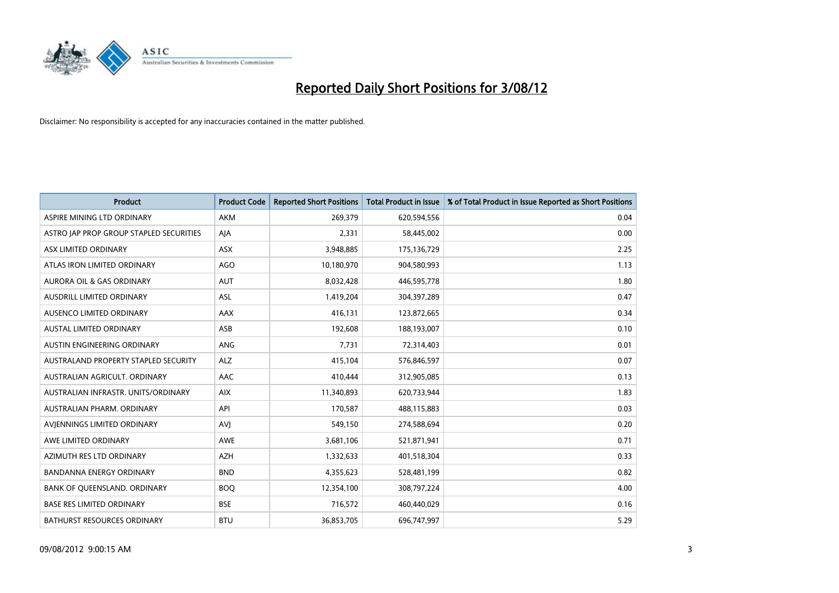

| <b>Product</b>                          | <b>Product Code</b> | <b>Reported Short Positions</b> | <b>Total Product in Issue</b> | % of Total Product in Issue Reported as Short Positions |
|-----------------------------------------|---------------------|---------------------------------|-------------------------------|---------------------------------------------------------|
| ASPIRE MINING LTD ORDINARY              | <b>AKM</b>          | 269,379                         | 620,594,556                   | 0.04                                                    |
| ASTRO JAP PROP GROUP STAPLED SECURITIES | AJA                 | 2,331                           | 58,445,002                    | 0.00                                                    |
| ASX LIMITED ORDINARY                    | <b>ASX</b>          | 3,948,885                       | 175,136,729                   | 2.25                                                    |
| ATLAS IRON LIMITED ORDINARY             | AGO                 | 10,180,970                      | 904,580,993                   | 1.13                                                    |
| <b>AURORA OIL &amp; GAS ORDINARY</b>    | <b>AUT</b>          | 8,032,428                       | 446,595,778                   | 1.80                                                    |
| AUSDRILL LIMITED ORDINARY               | <b>ASL</b>          | 1,419,204                       | 304,397,289                   | 0.47                                                    |
| AUSENCO LIMITED ORDINARY                | AAX                 | 416,131                         | 123,872,665                   | 0.34                                                    |
| <b>AUSTAL LIMITED ORDINARY</b>          | ASB                 | 192,608                         | 188,193,007                   | 0.10                                                    |
| AUSTIN ENGINEERING ORDINARY             | <b>ANG</b>          | 7,731                           | 72,314,403                    | 0.01                                                    |
| AUSTRALAND PROPERTY STAPLED SECURITY    | <b>ALZ</b>          | 415,104                         | 576,846,597                   | 0.07                                                    |
| AUSTRALIAN AGRICULT. ORDINARY           | AAC                 | 410,444                         | 312,905,085                   | 0.13                                                    |
| AUSTRALIAN INFRASTR. UNITS/ORDINARY     | <b>AIX</b>          | 11,340,893                      | 620,733,944                   | 1.83                                                    |
| AUSTRALIAN PHARM. ORDINARY              | API                 | 170,587                         | 488,115,883                   | 0.03                                                    |
| AVIENNINGS LIMITED ORDINARY             | AVI                 | 549,150                         | 274,588,694                   | 0.20                                                    |
| AWE LIMITED ORDINARY                    | <b>AWE</b>          | 3,681,106                       | 521,871,941                   | 0.71                                                    |
| AZIMUTH RES LTD ORDINARY                | <b>AZH</b>          | 1,332,633                       | 401,518,304                   | 0.33                                                    |
| BANDANNA ENERGY ORDINARY                | <b>BND</b>          | 4,355,623                       | 528,481,199                   | 0.82                                                    |
| BANK OF QUEENSLAND. ORDINARY            | <b>BOQ</b>          | 12,354,100                      | 308,797,224                   | 4.00                                                    |
| <b>BASE RES LIMITED ORDINARY</b>        | <b>BSE</b>          | 716,572                         | 460,440,029                   | 0.16                                                    |
| <b>BATHURST RESOURCES ORDINARY</b>      | <b>BTU</b>          | 36,853,705                      | 696,747,997                   | 5.29                                                    |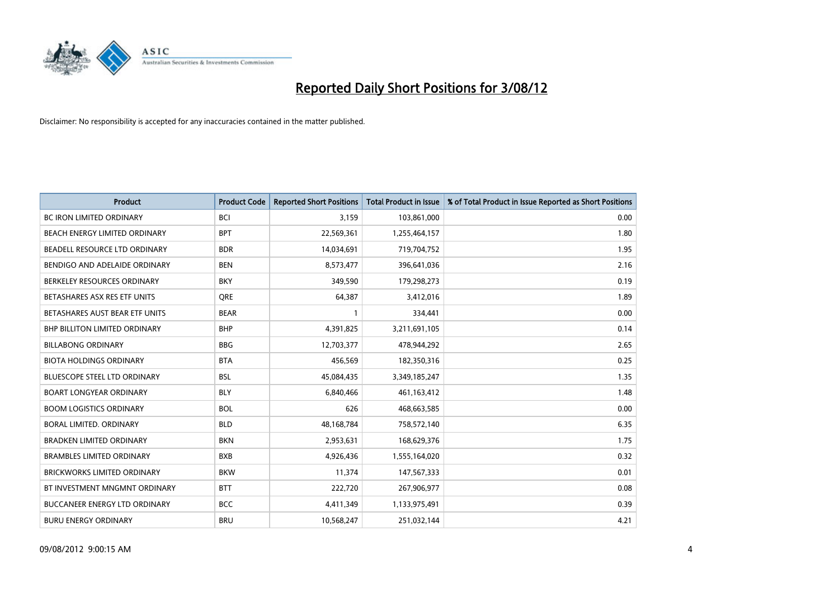

| <b>Product</b>                       | <b>Product Code</b> | <b>Reported Short Positions</b> | <b>Total Product in Issue</b> | % of Total Product in Issue Reported as Short Positions |
|--------------------------------------|---------------------|---------------------------------|-------------------------------|---------------------------------------------------------|
| <b>BC IRON LIMITED ORDINARY</b>      | <b>BCI</b>          | 3,159                           | 103,861,000                   | 0.00                                                    |
| BEACH ENERGY LIMITED ORDINARY        | <b>BPT</b>          | 22,569,361                      | 1,255,464,157                 | 1.80                                                    |
| BEADELL RESOURCE LTD ORDINARY        | <b>BDR</b>          | 14,034,691                      | 719,704,752                   | 1.95                                                    |
| BENDIGO AND ADELAIDE ORDINARY        | <b>BEN</b>          | 8,573,477                       | 396,641,036                   | 2.16                                                    |
| BERKELEY RESOURCES ORDINARY          | <b>BKY</b>          | 349,590                         | 179,298,273                   | 0.19                                                    |
| BETASHARES ASX RES ETF UNITS         | <b>ORE</b>          | 64,387                          | 3,412,016                     | 1.89                                                    |
| BETASHARES AUST BEAR ETF UNITS       | <b>BEAR</b>         |                                 | 334,441                       | 0.00                                                    |
| <b>BHP BILLITON LIMITED ORDINARY</b> | <b>BHP</b>          | 4,391,825                       | 3,211,691,105                 | 0.14                                                    |
| <b>BILLABONG ORDINARY</b>            | <b>BBG</b>          | 12,703,377                      | 478,944,292                   | 2.65                                                    |
| <b>BIOTA HOLDINGS ORDINARY</b>       | <b>BTA</b>          | 456,569                         | 182,350,316                   | 0.25                                                    |
| <b>BLUESCOPE STEEL LTD ORDINARY</b>  | <b>BSL</b>          | 45,084,435                      | 3,349,185,247                 | 1.35                                                    |
| <b>BOART LONGYEAR ORDINARY</b>       | <b>BLY</b>          | 6,840,466                       | 461,163,412                   | 1.48                                                    |
| <b>BOOM LOGISTICS ORDINARY</b>       | <b>BOL</b>          | 626                             | 468,663,585                   | 0.00                                                    |
| <b>BORAL LIMITED, ORDINARY</b>       | <b>BLD</b>          | 48,168,784                      | 758,572,140                   | 6.35                                                    |
| <b>BRADKEN LIMITED ORDINARY</b>      | <b>BKN</b>          | 2,953,631                       | 168,629,376                   | 1.75                                                    |
| <b>BRAMBLES LIMITED ORDINARY</b>     | <b>BXB</b>          | 4,926,436                       | 1,555,164,020                 | 0.32                                                    |
| <b>BRICKWORKS LIMITED ORDINARY</b>   | <b>BKW</b>          | 11,374                          | 147,567,333                   | 0.01                                                    |
| BT INVESTMENT MNGMNT ORDINARY        | <b>BTT</b>          | 222,720                         | 267,906,977                   | 0.08                                                    |
| <b>BUCCANEER ENERGY LTD ORDINARY</b> | <b>BCC</b>          | 4,411,349                       | 1,133,975,491                 | 0.39                                                    |
| <b>BURU ENERGY ORDINARY</b>          | <b>BRU</b>          | 10,568,247                      | 251,032,144                   | 4.21                                                    |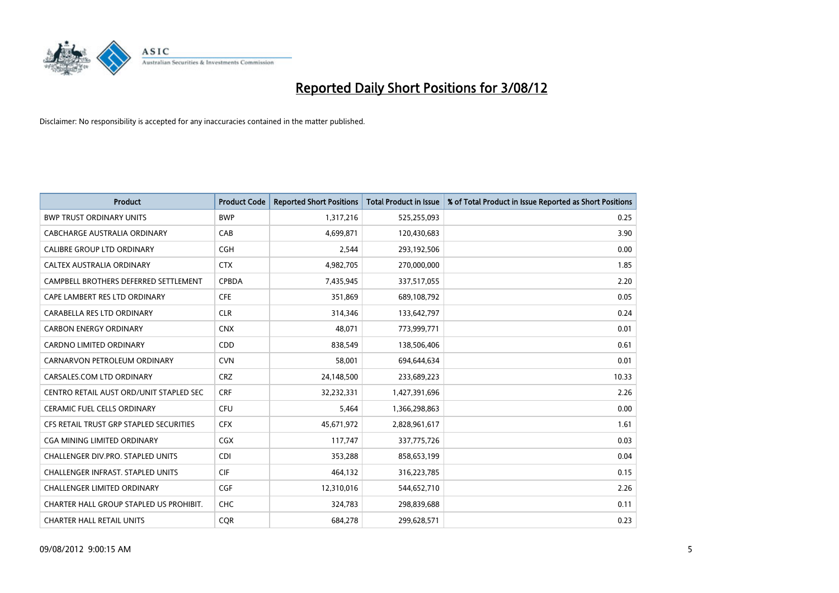

| <b>Product</b>                          | <b>Product Code</b> | <b>Reported Short Positions</b> | <b>Total Product in Issue</b> | % of Total Product in Issue Reported as Short Positions |
|-----------------------------------------|---------------------|---------------------------------|-------------------------------|---------------------------------------------------------|
| <b>BWP TRUST ORDINARY UNITS</b>         | <b>BWP</b>          | 1,317,216                       | 525,255,093                   | 0.25                                                    |
| CABCHARGE AUSTRALIA ORDINARY            | CAB                 | 4,699,871                       | 120,430,683                   | 3.90                                                    |
| <b>CALIBRE GROUP LTD ORDINARY</b>       | <b>CGH</b>          | 2,544                           | 293,192,506                   | 0.00                                                    |
| CALTEX AUSTRALIA ORDINARY               | <b>CTX</b>          | 4,982,705                       | 270,000,000                   | 1.85                                                    |
| CAMPBELL BROTHERS DEFERRED SETTLEMENT   | <b>CPBDA</b>        | 7,435,945                       | 337,517,055                   | 2.20                                                    |
| CAPE LAMBERT RES LTD ORDINARY           | <b>CFE</b>          | 351,869                         | 689,108,792                   | 0.05                                                    |
| CARABELLA RES LTD ORDINARY              | <b>CLR</b>          | 314,346                         | 133,642,797                   | 0.24                                                    |
| <b>CARBON ENERGY ORDINARY</b>           | <b>CNX</b>          | 48,071                          | 773,999,771                   | 0.01                                                    |
| <b>CARDNO LIMITED ORDINARY</b>          | CDD                 | 838,549                         | 138,506,406                   | 0.61                                                    |
| CARNARVON PETROLEUM ORDINARY            | <b>CVN</b>          | 58,001                          | 694,644,634                   | 0.01                                                    |
| CARSALES.COM LTD ORDINARY               | <b>CRZ</b>          | 24,148,500                      | 233,689,223                   | 10.33                                                   |
| CENTRO RETAIL AUST ORD/UNIT STAPLED SEC | <b>CRF</b>          | 32,232,331                      | 1,427,391,696                 | 2.26                                                    |
| <b>CERAMIC FUEL CELLS ORDINARY</b>      | <b>CFU</b>          | 5,464                           | 1,366,298,863                 | 0.00                                                    |
| CFS RETAIL TRUST GRP STAPLED SECURITIES | <b>CFX</b>          | 45,671,972                      | 2,828,961,617                 | 1.61                                                    |
| CGA MINING LIMITED ORDINARY             | <b>CGX</b>          | 117,747                         | 337,775,726                   | 0.03                                                    |
| CHALLENGER DIV.PRO. STAPLED UNITS       | <b>CDI</b>          | 353,288                         | 858,653,199                   | 0.04                                                    |
| CHALLENGER INFRAST. STAPLED UNITS       | <b>CIF</b>          | 464,132                         | 316,223,785                   | 0.15                                                    |
| <b>CHALLENGER LIMITED ORDINARY</b>      | <b>CGF</b>          | 12,310,016                      | 544,652,710                   | 2.26                                                    |
| CHARTER HALL GROUP STAPLED US PROHIBIT. | <b>CHC</b>          | 324,783                         | 298,839,688                   | 0.11                                                    |
| <b>CHARTER HALL RETAIL UNITS</b>        | <b>CQR</b>          | 684,278                         | 299,628,571                   | 0.23                                                    |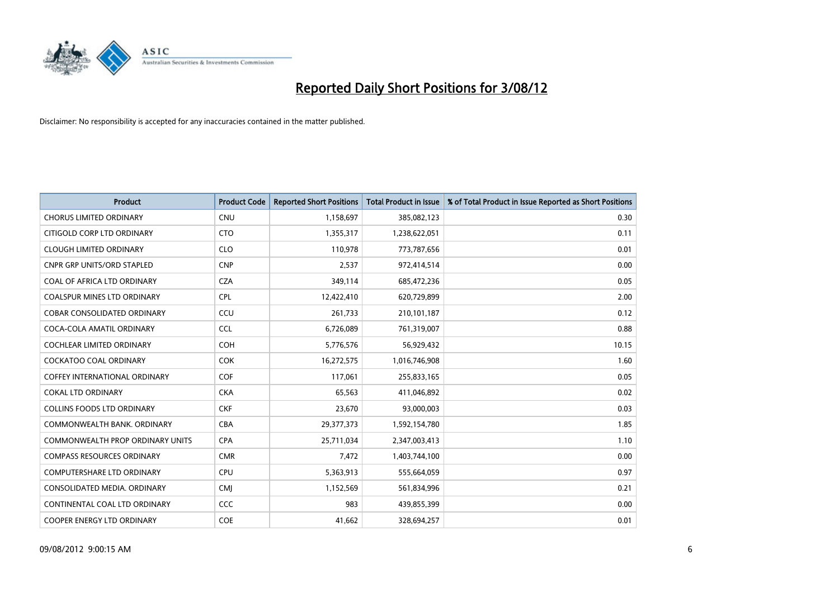

| <b>Product</b>                          | <b>Product Code</b> | <b>Reported Short Positions</b> | <b>Total Product in Issue</b> | % of Total Product in Issue Reported as Short Positions |
|-----------------------------------------|---------------------|---------------------------------|-------------------------------|---------------------------------------------------------|
| <b>CHORUS LIMITED ORDINARY</b>          | <b>CNU</b>          | 1,158,697                       | 385,082,123                   | 0.30                                                    |
| CITIGOLD CORP LTD ORDINARY              | <b>CTO</b>          | 1,355,317                       | 1,238,622,051                 | 0.11                                                    |
| <b>CLOUGH LIMITED ORDINARY</b>          | <b>CLO</b>          | 110,978                         | 773,787,656                   | 0.01                                                    |
| <b>CNPR GRP UNITS/ORD STAPLED</b>       | <b>CNP</b>          | 2,537                           | 972,414,514                   | 0.00                                                    |
| COAL OF AFRICA LTD ORDINARY             | <b>CZA</b>          | 349,114                         | 685,472,236                   | 0.05                                                    |
| <b>COALSPUR MINES LTD ORDINARY</b>      | <b>CPL</b>          | 12,422,410                      | 620,729,899                   | 2.00                                                    |
| <b>COBAR CONSOLIDATED ORDINARY</b>      | CCU                 | 261.733                         | 210,101,187                   | 0.12                                                    |
| COCA-COLA AMATIL ORDINARY               | <b>CCL</b>          | 6,726,089                       | 761,319,007                   | 0.88                                                    |
| COCHLEAR LIMITED ORDINARY               | <b>COH</b>          | 5,776,576                       | 56,929,432                    | 10.15                                                   |
| <b>COCKATOO COAL ORDINARY</b>           | <b>COK</b>          | 16,272,575                      | 1,016,746,908                 | 1.60                                                    |
| <b>COFFEY INTERNATIONAL ORDINARY</b>    | <b>COF</b>          | 117,061                         | 255,833,165                   | 0.05                                                    |
| <b>COKAL LTD ORDINARY</b>               | <b>CKA</b>          | 65,563                          | 411,046,892                   | 0.02                                                    |
| <b>COLLINS FOODS LTD ORDINARY</b>       | <b>CKF</b>          | 23,670                          | 93,000,003                    | 0.03                                                    |
| COMMONWEALTH BANK, ORDINARY             | <b>CBA</b>          | 29,377,373                      | 1,592,154,780                 | 1.85                                                    |
| <b>COMMONWEALTH PROP ORDINARY UNITS</b> | <b>CPA</b>          | 25,711,034                      | 2,347,003,413                 | 1.10                                                    |
| <b>COMPASS RESOURCES ORDINARY</b>       | <b>CMR</b>          | 7,472                           | 1,403,744,100                 | 0.00                                                    |
| <b>COMPUTERSHARE LTD ORDINARY</b>       | CPU                 | 5,363,913                       | 555,664,059                   | 0.97                                                    |
| CONSOLIDATED MEDIA. ORDINARY            | <b>CMI</b>          | 1,152,569                       | 561,834,996                   | 0.21                                                    |
| CONTINENTAL COAL LTD ORDINARY           | CCC                 | 983                             | 439,855,399                   | 0.00                                                    |
| <b>COOPER ENERGY LTD ORDINARY</b>       | <b>COE</b>          | 41.662                          | 328.694.257                   | 0.01                                                    |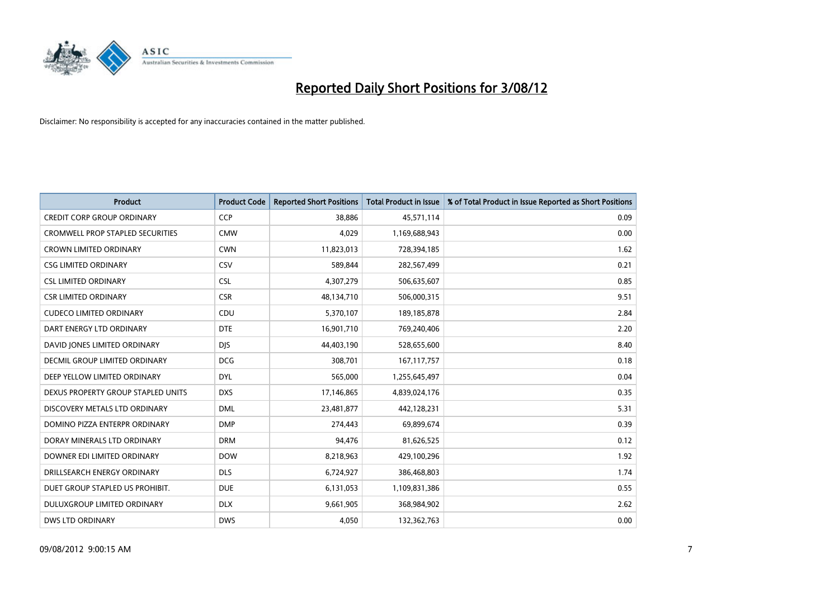

| <b>Product</b>                          | <b>Product Code</b> | <b>Reported Short Positions</b> | <b>Total Product in Issue</b> | % of Total Product in Issue Reported as Short Positions |
|-----------------------------------------|---------------------|---------------------------------|-------------------------------|---------------------------------------------------------|
| <b>CREDIT CORP GROUP ORDINARY</b>       | <b>CCP</b>          | 38,886                          | 45,571,114                    | 0.09                                                    |
| <b>CROMWELL PROP STAPLED SECURITIES</b> | <b>CMW</b>          | 4,029                           | 1,169,688,943                 | 0.00                                                    |
| <b>CROWN LIMITED ORDINARY</b>           | <b>CWN</b>          | 11,823,013                      | 728,394,185                   | 1.62                                                    |
| <b>CSG LIMITED ORDINARY</b>             | CSV                 | 589,844                         | 282,567,499                   | 0.21                                                    |
| <b>CSL LIMITED ORDINARY</b>             | <b>CSL</b>          | 4,307,279                       | 506,635,607                   | 0.85                                                    |
| <b>CSR LIMITED ORDINARY</b>             | <b>CSR</b>          | 48,134,710                      | 506,000,315                   | 9.51                                                    |
| <b>CUDECO LIMITED ORDINARY</b>          | CDU                 | 5,370,107                       | 189, 185, 878                 | 2.84                                                    |
| DART ENERGY LTD ORDINARY                | <b>DTE</b>          | 16,901,710                      | 769,240,406                   | 2.20                                                    |
| DAVID JONES LIMITED ORDINARY            | <b>DJS</b>          | 44,403,190                      | 528,655,600                   | 8.40                                                    |
| <b>DECMIL GROUP LIMITED ORDINARY</b>    | <b>DCG</b>          | 308,701                         | 167, 117, 757                 | 0.18                                                    |
| DEEP YELLOW LIMITED ORDINARY            | <b>DYL</b>          | 565,000                         | 1,255,645,497                 | 0.04                                                    |
| DEXUS PROPERTY GROUP STAPLED UNITS      | <b>DXS</b>          | 17,146,865                      | 4,839,024,176                 | 0.35                                                    |
| DISCOVERY METALS LTD ORDINARY           | <b>DML</b>          | 23,481,877                      | 442,128,231                   | 5.31                                                    |
| DOMINO PIZZA ENTERPR ORDINARY           | <b>DMP</b>          | 274.443                         | 69,899,674                    | 0.39                                                    |
| DORAY MINERALS LTD ORDINARY             | <b>DRM</b>          | 94,476                          | 81,626,525                    | 0.12                                                    |
| DOWNER EDI LIMITED ORDINARY             | <b>DOW</b>          | 8,218,963                       | 429,100,296                   | 1.92                                                    |
| DRILLSEARCH ENERGY ORDINARY             | <b>DLS</b>          | 6,724,927                       | 386,468,803                   | 1.74                                                    |
| DUET GROUP STAPLED US PROHIBIT.         | <b>DUE</b>          | 6,131,053                       | 1,109,831,386                 | 0.55                                                    |
| <b>DULUXGROUP LIMITED ORDINARY</b>      | <b>DLX</b>          | 9,661,905                       | 368,984,902                   | 2.62                                                    |
| <b>DWS LTD ORDINARY</b>                 | <b>DWS</b>          | 4.050                           | 132,362,763                   | 0.00                                                    |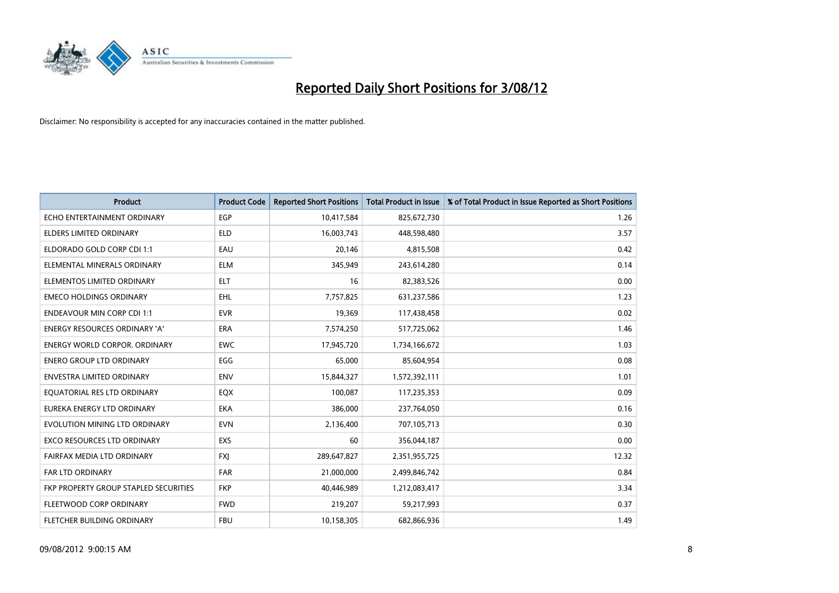

| <b>Product</b>                        | <b>Product Code</b> | <b>Reported Short Positions</b> | <b>Total Product in Issue</b> | % of Total Product in Issue Reported as Short Positions |
|---------------------------------------|---------------------|---------------------------------|-------------------------------|---------------------------------------------------------|
| ECHO ENTERTAINMENT ORDINARY           | <b>EGP</b>          | 10,417,584                      | 825,672,730                   | 1.26                                                    |
| <b>ELDERS LIMITED ORDINARY</b>        | <b>ELD</b>          | 16,003,743                      | 448,598,480                   | 3.57                                                    |
| ELDORADO GOLD CORP CDI 1:1            | EAU                 | 20,146                          | 4,815,508                     | 0.42                                                    |
| ELEMENTAL MINERALS ORDINARY           | <b>ELM</b>          | 345,949                         | 243,614,280                   | 0.14                                                    |
| ELEMENTOS LIMITED ORDINARY            | <b>ELT</b>          | 16                              | 82,383,526                    | 0.00                                                    |
| <b>EMECO HOLDINGS ORDINARY</b>        | <b>EHL</b>          | 7,757,825                       | 631,237,586                   | 1.23                                                    |
| <b>ENDEAVOUR MIN CORP CDI 1:1</b>     | <b>EVR</b>          | 19,369                          | 117,438,458                   | 0.02                                                    |
| <b>ENERGY RESOURCES ORDINARY 'A'</b>  | <b>ERA</b>          | 7,574,250                       | 517,725,062                   | 1.46                                                    |
| ENERGY WORLD CORPOR. ORDINARY         | <b>EWC</b>          | 17,945,720                      | 1,734,166,672                 | 1.03                                                    |
| <b>ENERO GROUP LTD ORDINARY</b>       | EGG                 | 65,000                          | 85,604,954                    | 0.08                                                    |
| <b>ENVESTRA LIMITED ORDINARY</b>      | <b>ENV</b>          | 15,844,327                      | 1,572,392,111                 | 1.01                                                    |
| EQUATORIAL RES LTD ORDINARY           | EQX                 | 100,087                         | 117,235,353                   | 0.09                                                    |
| EUREKA ENERGY LTD ORDINARY            | <b>EKA</b>          | 386,000                         | 237,764,050                   | 0.16                                                    |
| EVOLUTION MINING LTD ORDINARY         | <b>EVN</b>          | 2,136,400                       | 707,105,713                   | 0.30                                                    |
| EXCO RESOURCES LTD ORDINARY           | <b>EXS</b>          | 60                              | 356,044,187                   | 0.00                                                    |
| FAIRFAX MEDIA LTD ORDINARY            | <b>FXI</b>          | 289,647,827                     | 2,351,955,725                 | 12.32                                                   |
| <b>FAR LTD ORDINARY</b>               | <b>FAR</b>          | 21,000,000                      | 2,499,846,742                 | 0.84                                                    |
| FKP PROPERTY GROUP STAPLED SECURITIES | <b>FKP</b>          | 40,446,989                      | 1,212,083,417                 | 3.34                                                    |
| FLEETWOOD CORP ORDINARY               | <b>FWD</b>          | 219,207                         | 59,217,993                    | 0.37                                                    |
| <b>FLETCHER BUILDING ORDINARY</b>     | <b>FBU</b>          | 10,158,305                      | 682.866.936                   | 1.49                                                    |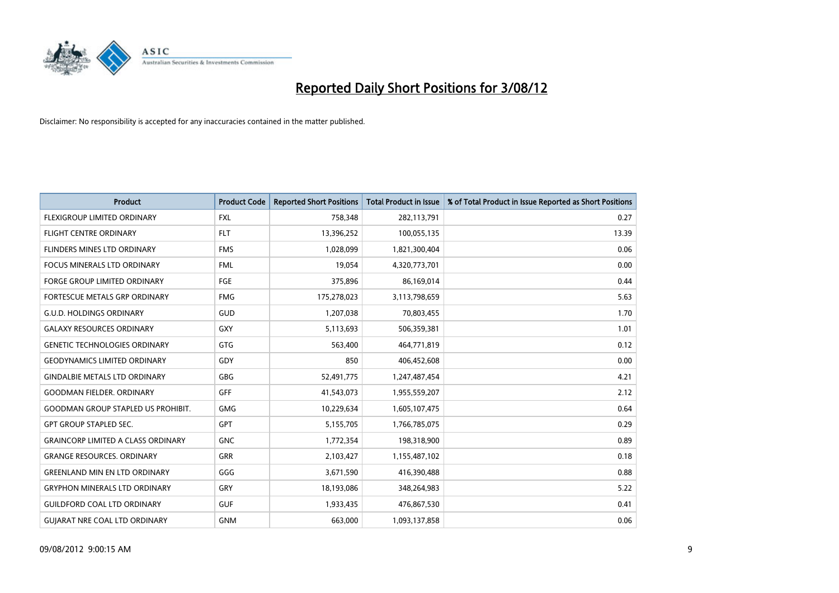

| <b>Product</b>                            | <b>Product Code</b> | <b>Reported Short Positions</b> | <b>Total Product in Issue</b> | % of Total Product in Issue Reported as Short Positions |
|-------------------------------------------|---------------------|---------------------------------|-------------------------------|---------------------------------------------------------|
| <b>FLEXIGROUP LIMITED ORDINARY</b>        | <b>FXL</b>          | 758,348                         | 282,113,791                   | 0.27                                                    |
| <b>FLIGHT CENTRE ORDINARY</b>             | <b>FLT</b>          | 13,396,252                      | 100,055,135                   | 13.39                                                   |
| FLINDERS MINES LTD ORDINARY               | <b>FMS</b>          | 1,028,099                       | 1,821,300,404                 | 0.06                                                    |
| FOCUS MINERALS LTD ORDINARY               | <b>FML</b>          | 19,054                          | 4,320,773,701                 | 0.00                                                    |
| <b>FORGE GROUP LIMITED ORDINARY</b>       | FGE                 | 375,896                         | 86,169,014                    | 0.44                                                    |
| FORTESCUE METALS GRP ORDINARY             | <b>FMG</b>          | 175,278,023                     | 3,113,798,659                 | 5.63                                                    |
| <b>G.U.D. HOLDINGS ORDINARY</b>           | <b>GUD</b>          | 1,207,038                       | 70,803,455                    | 1.70                                                    |
| <b>GALAXY RESOURCES ORDINARY</b>          | <b>GXY</b>          | 5,113,693                       | 506,359,381                   | 1.01                                                    |
| <b>GENETIC TECHNOLOGIES ORDINARY</b>      | <b>GTG</b>          | 563,400                         | 464,771,819                   | 0.12                                                    |
| <b>GEODYNAMICS LIMITED ORDINARY</b>       | GDY                 | 850                             | 406,452,608                   | 0.00                                                    |
| <b>GINDALBIE METALS LTD ORDINARY</b>      | <b>GBG</b>          | 52,491,775                      | 1,247,487,454                 | 4.21                                                    |
| <b>GOODMAN FIELDER, ORDINARY</b>          | <b>GFF</b>          | 41,543,073                      | 1,955,559,207                 | 2.12                                                    |
| <b>GOODMAN GROUP STAPLED US PROHIBIT.</b> | <b>GMG</b>          | 10,229,634                      | 1,605,107,475                 | 0.64                                                    |
| <b>GPT GROUP STAPLED SEC.</b>             | <b>GPT</b>          | 5,155,705                       | 1,766,785,075                 | 0.29                                                    |
| <b>GRAINCORP LIMITED A CLASS ORDINARY</b> | <b>GNC</b>          | 1,772,354                       | 198,318,900                   | 0.89                                                    |
| <b>GRANGE RESOURCES, ORDINARY</b>         | <b>GRR</b>          | 2,103,427                       | 1,155,487,102                 | 0.18                                                    |
| <b>GREENLAND MIN EN LTD ORDINARY</b>      | GGG                 | 3,671,590                       | 416,390,488                   | 0.88                                                    |
| <b>GRYPHON MINERALS LTD ORDINARY</b>      | GRY                 | 18,193,086                      | 348,264,983                   | 5.22                                                    |
| <b>GUILDFORD COAL LTD ORDINARY</b>        | <b>GUF</b>          | 1,933,435                       | 476,867,530                   | 0.41                                                    |
| <b>GUIARAT NRE COAL LTD ORDINARY</b>      | <b>GNM</b>          | 663.000                         | 1,093,137,858                 | 0.06                                                    |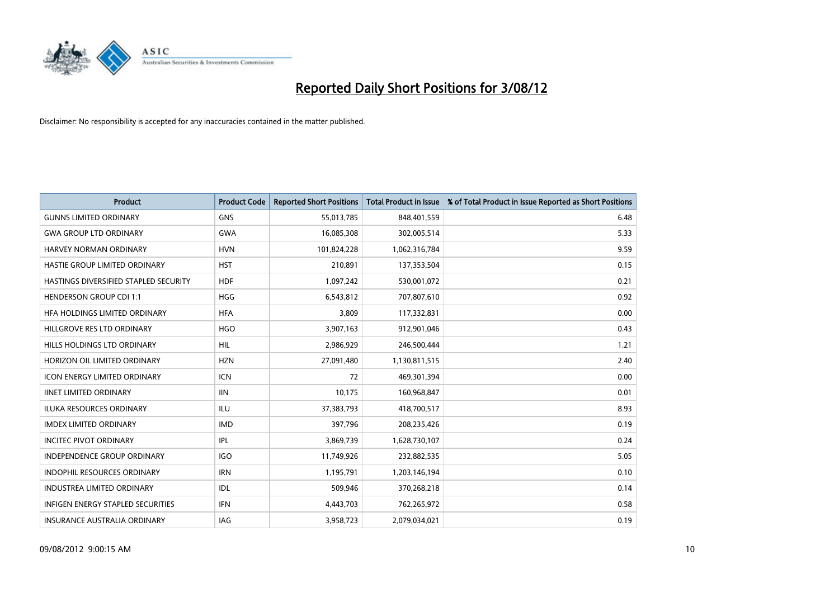

| <b>Product</b>                           | <b>Product Code</b> | <b>Reported Short Positions</b> | <b>Total Product in Issue</b> | % of Total Product in Issue Reported as Short Positions |
|------------------------------------------|---------------------|---------------------------------|-------------------------------|---------------------------------------------------------|
| <b>GUNNS LIMITED ORDINARY</b>            | <b>GNS</b>          | 55,013,785                      | 848,401,559                   | 6.48                                                    |
| <b>GWA GROUP LTD ORDINARY</b>            | <b>GWA</b>          | 16,085,308                      | 302,005,514                   | 5.33                                                    |
| HARVEY NORMAN ORDINARY                   | <b>HVN</b>          | 101,824,228                     | 1,062,316,784                 | 9.59                                                    |
| HASTIE GROUP LIMITED ORDINARY            | <b>HST</b>          | 210,891                         | 137,353,504                   | 0.15                                                    |
| HASTINGS DIVERSIFIED STAPLED SECURITY    | <b>HDF</b>          | 1,097,242                       | 530,001,072                   | 0.21                                                    |
| <b>HENDERSON GROUP CDI 1:1</b>           | <b>HGG</b>          | 6,543,812                       | 707,807,610                   | 0.92                                                    |
| HFA HOLDINGS LIMITED ORDINARY            | <b>HFA</b>          | 3.809                           | 117,332,831                   | 0.00                                                    |
| HILLGROVE RES LTD ORDINARY               | <b>HGO</b>          | 3,907,163                       | 912,901,046                   | 0.43                                                    |
| HILLS HOLDINGS LTD ORDINARY              | <b>HIL</b>          | 2,986,929                       | 246,500,444                   | 1.21                                                    |
| HORIZON OIL LIMITED ORDINARY             | <b>HZN</b>          | 27,091,480                      | 1,130,811,515                 | 2.40                                                    |
| <b>ICON ENERGY LIMITED ORDINARY</b>      | <b>ICN</b>          | 72                              | 469,301,394                   | 0.00                                                    |
| <b>IINET LIMITED ORDINARY</b>            | <b>IIN</b>          | 10,175                          | 160,968,847                   | 0.01                                                    |
| <b>ILUKA RESOURCES ORDINARY</b>          | ILU                 | 37,383,793                      | 418,700,517                   | 8.93                                                    |
| <b>IMDEX LIMITED ORDINARY</b>            | <b>IMD</b>          | 397,796                         | 208,235,426                   | 0.19                                                    |
| <b>INCITEC PIVOT ORDINARY</b>            | <b>IPL</b>          | 3,869,739                       | 1,628,730,107                 | 0.24                                                    |
| <b>INDEPENDENCE GROUP ORDINARY</b>       | <b>IGO</b>          | 11,749,926                      | 232,882,535                   | 5.05                                                    |
| <b>INDOPHIL RESOURCES ORDINARY</b>       | <b>IRN</b>          | 1,195,791                       | 1,203,146,194                 | 0.10                                                    |
| <b>INDUSTREA LIMITED ORDINARY</b>        | IDL                 | 509,946                         | 370,268,218                   | 0.14                                                    |
| <b>INFIGEN ENERGY STAPLED SECURITIES</b> | <b>IFN</b>          | 4,443,703                       | 762,265,972                   | 0.58                                                    |
| <b>INSURANCE AUSTRALIA ORDINARY</b>      | IAG                 | 3,958,723                       | 2.079.034.021                 | 0.19                                                    |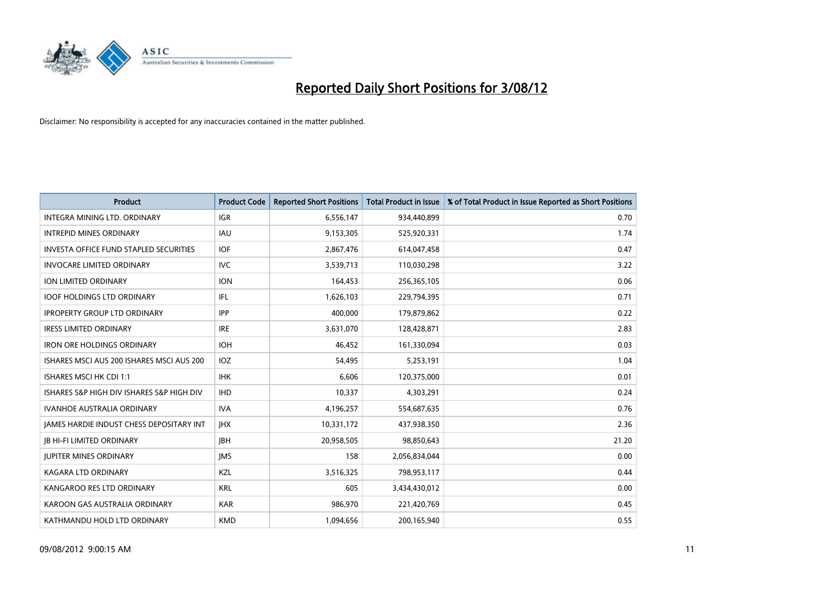

| <b>Product</b>                                  | <b>Product Code</b> | <b>Reported Short Positions</b> | <b>Total Product in Issue</b> | % of Total Product in Issue Reported as Short Positions |
|-------------------------------------------------|---------------------|---------------------------------|-------------------------------|---------------------------------------------------------|
| <b>INTEGRA MINING LTD, ORDINARY</b>             | <b>IGR</b>          | 6,556,147                       | 934,440,899                   | 0.70                                                    |
| <b>INTREPID MINES ORDINARY</b>                  | <b>IAU</b>          | 9,153,305                       | 525,920,331                   | 1.74                                                    |
| <b>INVESTA OFFICE FUND STAPLED SECURITIES</b>   | <b>IOF</b>          | 2,867,476                       | 614,047,458                   | 0.47                                                    |
| <b>INVOCARE LIMITED ORDINARY</b>                | <b>IVC</b>          | 3,539,713                       | 110,030,298                   | 3.22                                                    |
| <b>ION LIMITED ORDINARY</b>                     | <b>ION</b>          | 164,453                         | 256,365,105                   | 0.06                                                    |
| <b>IOOF HOLDINGS LTD ORDINARY</b>               | IFL.                | 1,626,103                       | 229,794,395                   | 0.71                                                    |
| <b>IPROPERTY GROUP LTD ORDINARY</b>             | <b>IPP</b>          | 400.000                         | 179,879,862                   | 0.22                                                    |
| <b>IRESS LIMITED ORDINARY</b>                   | <b>IRE</b>          | 3,631,070                       | 128,428,871                   | 2.83                                                    |
| <b>IRON ORE HOLDINGS ORDINARY</b>               | <b>IOH</b>          | 46,452                          | 161,330,094                   | 0.03                                                    |
| ISHARES MSCI AUS 200 ISHARES MSCI AUS 200       | <b>IOZ</b>          | 54,495                          | 5,253,191                     | 1.04                                                    |
| ISHARES MSCI HK CDI 1:1                         | <b>IHK</b>          | 6,606                           | 120,375,000                   | 0.01                                                    |
| ISHARES S&P HIGH DIV ISHARES S&P HIGH DIV       | <b>IHD</b>          | 10,337                          | 4,303,291                     | 0.24                                                    |
| <b>IVANHOE AUSTRALIA ORDINARY</b>               | <b>IVA</b>          | 4,196,257                       | 554,687,635                   | 0.76                                                    |
| <b>JAMES HARDIE INDUST CHESS DEPOSITARY INT</b> | <b>IHX</b>          | 10,331,172                      | 437,938,350                   | 2.36                                                    |
| <b>JB HI-FI LIMITED ORDINARY</b>                | <b>IBH</b>          | 20,958,505                      | 98,850,643                    | 21.20                                                   |
| <b>JUPITER MINES ORDINARY</b>                   | <b>IMS</b>          | 158                             | 2,056,834,044                 | 0.00                                                    |
| KAGARA LTD ORDINARY                             | <b>KZL</b>          | 3,516,325                       | 798,953,117                   | 0.44                                                    |
| KANGAROO RES LTD ORDINARY                       | <b>KRL</b>          | 605                             | 3,434,430,012                 | 0.00                                                    |
| KAROON GAS AUSTRALIA ORDINARY                   | <b>KAR</b>          | 986,970                         | 221,420,769                   | 0.45                                                    |
| KATHMANDU HOLD LTD ORDINARY                     | <b>KMD</b>          | 1,094,656                       | 200,165,940                   | 0.55                                                    |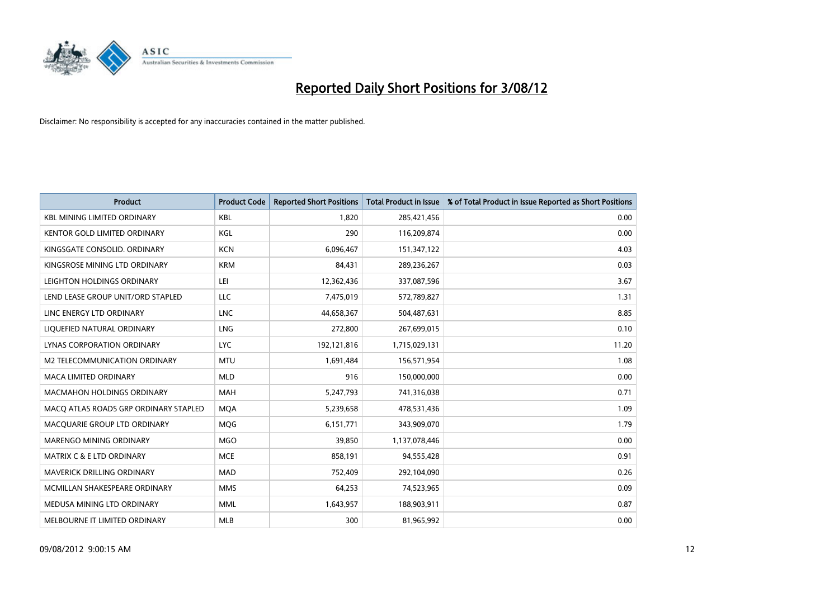

| <b>Product</b>                        | <b>Product Code</b> | <b>Reported Short Positions</b> | <b>Total Product in Issue</b> | % of Total Product in Issue Reported as Short Positions |
|---------------------------------------|---------------------|---------------------------------|-------------------------------|---------------------------------------------------------|
| <b>KBL MINING LIMITED ORDINARY</b>    | <b>KBL</b>          | 1.820                           | 285,421,456                   | 0.00                                                    |
| KENTOR GOLD LIMITED ORDINARY          | KGL                 | 290                             | 116,209,874                   | 0.00                                                    |
| KINGSGATE CONSOLID. ORDINARY          | <b>KCN</b>          | 6,096,467                       | 151,347,122                   | 4.03                                                    |
| KINGSROSE MINING LTD ORDINARY         | <b>KRM</b>          | 84,431                          | 289,236,267                   | 0.03                                                    |
| LEIGHTON HOLDINGS ORDINARY            | LEI                 | 12,362,436                      | 337,087,596                   | 3.67                                                    |
| LEND LEASE GROUP UNIT/ORD STAPLED     | <b>LLC</b>          | 7,475,019                       | 572,789,827                   | 1.31                                                    |
| LINC ENERGY LTD ORDINARY              | <b>LNC</b>          | 44,658,367                      | 504,487,631                   | 8.85                                                    |
| LIQUEFIED NATURAL ORDINARY            | <b>LNG</b>          | 272,800                         | 267,699,015                   | 0.10                                                    |
| LYNAS CORPORATION ORDINARY            | <b>LYC</b>          | 192,121,816                     | 1,715,029,131                 | 11.20                                                   |
| M2 TELECOMMUNICATION ORDINARY         | <b>MTU</b>          | 1,691,484                       | 156,571,954                   | 1.08                                                    |
| MACA LIMITED ORDINARY                 | <b>MLD</b>          | 916                             | 150,000,000                   | 0.00                                                    |
| <b>MACMAHON HOLDINGS ORDINARY</b>     | <b>MAH</b>          | 5,247,793                       | 741,316,038                   | 0.71                                                    |
| MACQ ATLAS ROADS GRP ORDINARY STAPLED | <b>MOA</b>          | 5,239,658                       | 478,531,436                   | 1.09                                                    |
| MACQUARIE GROUP LTD ORDINARY          | <b>MOG</b>          | 6,151,771                       | 343,909,070                   | 1.79                                                    |
| <b>MARENGO MINING ORDINARY</b>        | <b>MGO</b>          | 39,850                          | 1,137,078,446                 | 0.00                                                    |
| MATRIX C & E LTD ORDINARY             | <b>MCE</b>          | 858,191                         | 94,555,428                    | 0.91                                                    |
| MAVERICK DRILLING ORDINARY            | <b>MAD</b>          | 752,409                         | 292,104,090                   | 0.26                                                    |
| MCMILLAN SHAKESPEARE ORDINARY         | <b>MMS</b>          | 64,253                          | 74,523,965                    | 0.09                                                    |
| MEDUSA MINING LTD ORDINARY            | <b>MML</b>          | 1,643,957                       | 188,903,911                   | 0.87                                                    |
| MELBOURNE IT LIMITED ORDINARY         | <b>MLB</b>          | 300                             | 81,965,992                    | 0.00                                                    |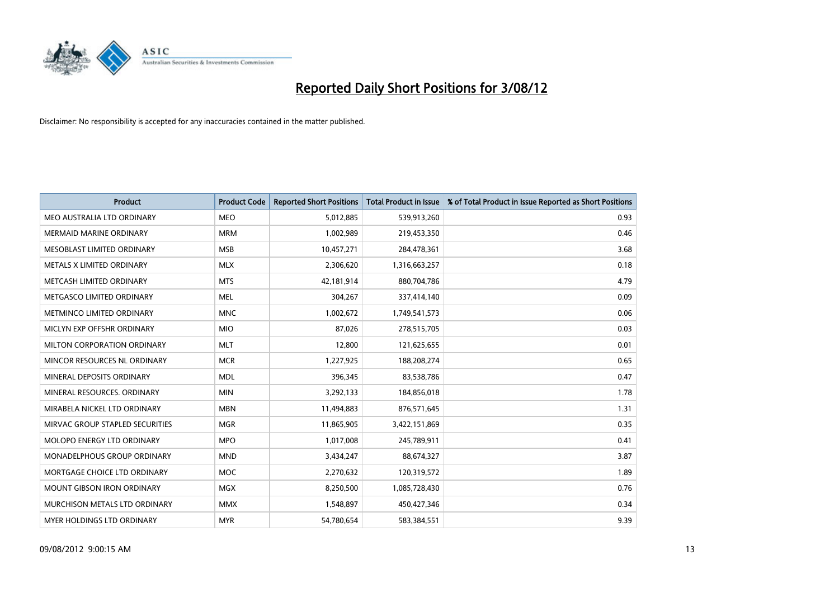

| <b>Product</b>                       | <b>Product Code</b> | <b>Reported Short Positions</b> | <b>Total Product in Issue</b> | % of Total Product in Issue Reported as Short Positions |
|--------------------------------------|---------------------|---------------------------------|-------------------------------|---------------------------------------------------------|
| MEO AUSTRALIA LTD ORDINARY           | <b>MEO</b>          | 5,012,885                       | 539,913,260                   | 0.93                                                    |
| MERMAID MARINE ORDINARY              | <b>MRM</b>          | 1,002,989                       | 219,453,350                   | 0.46                                                    |
| MESOBLAST LIMITED ORDINARY           | <b>MSB</b>          | 10,457,271                      | 284,478,361                   | 3.68                                                    |
| METALS X LIMITED ORDINARY            | <b>MLX</b>          | 2,306,620                       | 1,316,663,257                 | 0.18                                                    |
| METCASH LIMITED ORDINARY             | <b>MTS</b>          | 42,181,914                      | 880,704,786                   | 4.79                                                    |
| METGASCO LIMITED ORDINARY            | <b>MEL</b>          | 304,267                         | 337,414,140                   | 0.09                                                    |
| METMINCO LIMITED ORDINARY            | <b>MNC</b>          | 1,002,672                       | 1,749,541,573                 | 0.06                                                    |
| MICLYN EXP OFFSHR ORDINARY           | <b>MIO</b>          | 87,026                          | 278,515,705                   | 0.03                                                    |
| MILTON CORPORATION ORDINARY          | <b>MLT</b>          | 12,800                          | 121,625,655                   | 0.01                                                    |
| MINCOR RESOURCES NL ORDINARY         | <b>MCR</b>          | 1,227,925                       | 188,208,274                   | 0.65                                                    |
| MINERAL DEPOSITS ORDINARY            | <b>MDL</b>          | 396,345                         | 83,538,786                    | 0.47                                                    |
| MINERAL RESOURCES, ORDINARY          | <b>MIN</b>          | 3,292,133                       | 184,856,018                   | 1.78                                                    |
| MIRABELA NICKEL LTD ORDINARY         | <b>MBN</b>          | 11,494,883                      | 876,571,645                   | 1.31                                                    |
| MIRVAC GROUP STAPLED SECURITIES      | <b>MGR</b>          | 11,865,905                      | 3,422,151,869                 | 0.35                                                    |
| <b>MOLOPO ENERGY LTD ORDINARY</b>    | <b>MPO</b>          | 1,017,008                       | 245,789,911                   | 0.41                                                    |
| MONADELPHOUS GROUP ORDINARY          | <b>MND</b>          | 3,434,247                       | 88,674,327                    | 3.87                                                    |
| MORTGAGE CHOICE LTD ORDINARY         | <b>MOC</b>          | 2,270,632                       | 120,319,572                   | 1.89                                                    |
| <b>MOUNT GIBSON IRON ORDINARY</b>    | <b>MGX</b>          | 8,250,500                       | 1,085,728,430                 | 0.76                                                    |
| <b>MURCHISON METALS LTD ORDINARY</b> | <b>MMX</b>          | 1,548,897                       | 450,427,346                   | 0.34                                                    |
| <b>MYER HOLDINGS LTD ORDINARY</b>    | <b>MYR</b>          | 54,780,654                      | 583,384,551                   | 9.39                                                    |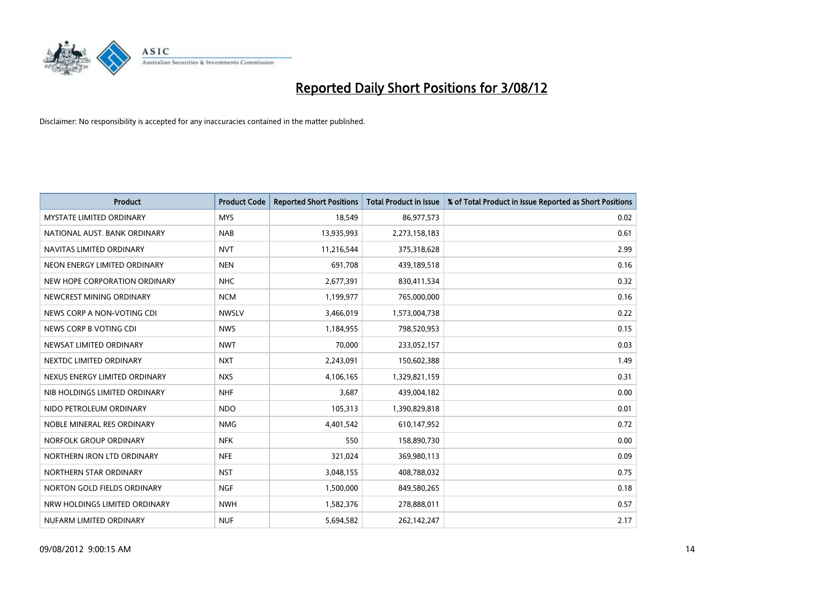

| <b>Product</b>                  | <b>Product Code</b> | <b>Reported Short Positions</b> | <b>Total Product in Issue</b> | % of Total Product in Issue Reported as Short Positions |
|---------------------------------|---------------------|---------------------------------|-------------------------------|---------------------------------------------------------|
| <b>MYSTATE LIMITED ORDINARY</b> | <b>MYS</b>          | 18,549                          | 86,977,573                    | 0.02                                                    |
| NATIONAL AUST. BANK ORDINARY    | <b>NAB</b>          | 13,935,993                      | 2,273,158,183                 | 0.61                                                    |
| NAVITAS LIMITED ORDINARY        | <b>NVT</b>          | 11,216,544                      | 375,318,628                   | 2.99                                                    |
| NEON ENERGY LIMITED ORDINARY    | <b>NEN</b>          | 691,708                         | 439,189,518                   | 0.16                                                    |
| NEW HOPE CORPORATION ORDINARY   | <b>NHC</b>          | 2,677,391                       | 830,411,534                   | 0.32                                                    |
| NEWCREST MINING ORDINARY        | <b>NCM</b>          | 1,199,977                       | 765,000,000                   | 0.16                                                    |
| NEWS CORP A NON-VOTING CDI      | <b>NWSLV</b>        | 3,466,019                       | 1,573,004,738                 | 0.22                                                    |
| NEWS CORP B VOTING CDI          | <b>NWS</b>          | 1,184,955                       | 798,520,953                   | 0.15                                                    |
| NEWSAT LIMITED ORDINARY         | <b>NWT</b>          | 70.000                          | 233,052,157                   | 0.03                                                    |
| NEXTDC LIMITED ORDINARY         | <b>NXT</b>          | 2,243,091                       | 150,602,388                   | 1.49                                                    |
| NEXUS ENERGY LIMITED ORDINARY   | <b>NXS</b>          | 4,106,165                       | 1,329,821,159                 | 0.31                                                    |
| NIB HOLDINGS LIMITED ORDINARY   | <b>NHF</b>          | 3,687                           | 439,004,182                   | 0.00                                                    |
| NIDO PETROLEUM ORDINARY         | <b>NDO</b>          | 105,313                         | 1,390,829,818                 | 0.01                                                    |
| NOBLE MINERAL RES ORDINARY      | <b>NMG</b>          | 4,401,542                       | 610,147,952                   | 0.72                                                    |
| NORFOLK GROUP ORDINARY          | <b>NFK</b>          | 550                             | 158,890,730                   | 0.00                                                    |
| NORTHERN IRON LTD ORDINARY      | <b>NFE</b>          | 321,024                         | 369,980,113                   | 0.09                                                    |
| NORTHERN STAR ORDINARY          | <b>NST</b>          | 3,048,155                       | 408,788,032                   | 0.75                                                    |
| NORTON GOLD FIELDS ORDINARY     | <b>NGF</b>          | 1,500,000                       | 849,580,265                   | 0.18                                                    |
| NRW HOLDINGS LIMITED ORDINARY   | <b>NWH</b>          | 1,582,376                       | 278,888,011                   | 0.57                                                    |
| NUFARM LIMITED ORDINARY         | <b>NUF</b>          | 5,694,582                       | 262,142,247                   | 2.17                                                    |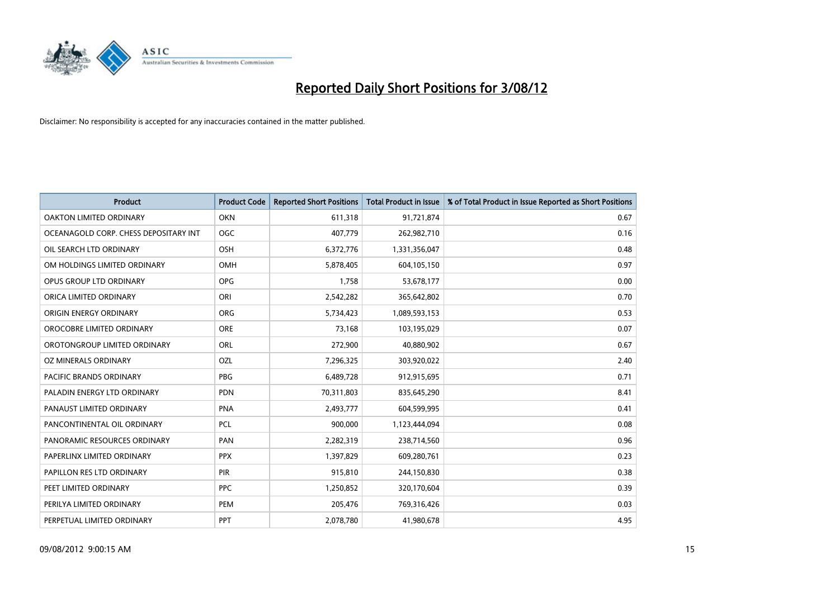

| <b>Product</b>                        | <b>Product Code</b> | <b>Reported Short Positions</b> | <b>Total Product in Issue</b> | % of Total Product in Issue Reported as Short Positions |
|---------------------------------------|---------------------|---------------------------------|-------------------------------|---------------------------------------------------------|
| <b>OAKTON LIMITED ORDINARY</b>        | <b>OKN</b>          | 611,318                         | 91,721,874                    | 0.67                                                    |
| OCEANAGOLD CORP. CHESS DEPOSITARY INT | <b>OGC</b>          | 407,779                         | 262,982,710                   | 0.16                                                    |
| OIL SEARCH LTD ORDINARY               | OSH                 | 6,372,776                       | 1,331,356,047                 | 0.48                                                    |
| OM HOLDINGS LIMITED ORDINARY          | OMH                 | 5,878,405                       | 604,105,150                   | 0.97                                                    |
| OPUS GROUP LTD ORDINARY               | <b>OPG</b>          | 1,758                           | 53,678,177                    | 0.00                                                    |
| ORICA LIMITED ORDINARY                | ORI                 | 2,542,282                       | 365,642,802                   | 0.70                                                    |
| ORIGIN ENERGY ORDINARY                | <b>ORG</b>          | 5,734,423                       | 1,089,593,153                 | 0.53                                                    |
| OROCOBRE LIMITED ORDINARY             | <b>ORE</b>          | 73,168                          | 103,195,029                   | 0.07                                                    |
| OROTONGROUP LIMITED ORDINARY          | ORL                 | 272,900                         | 40,880,902                    | 0.67                                                    |
| OZ MINERALS ORDINARY                  | OZL                 | 7,296,325                       | 303,920,022                   | 2.40                                                    |
| PACIFIC BRANDS ORDINARY               | <b>PBG</b>          | 6,489,728                       | 912,915,695                   | 0.71                                                    |
| PALADIN ENERGY LTD ORDINARY           | <b>PDN</b>          | 70,311,803                      | 835,645,290                   | 8.41                                                    |
| PANAUST LIMITED ORDINARY              | <b>PNA</b>          | 2,493,777                       | 604,599,995                   | 0.41                                                    |
| PANCONTINENTAL OIL ORDINARY           | <b>PCL</b>          | 900.000                         | 1,123,444,094                 | 0.08                                                    |
| PANORAMIC RESOURCES ORDINARY          | PAN                 | 2,282,319                       | 238,714,560                   | 0.96                                                    |
| PAPERLINX LIMITED ORDINARY            | <b>PPX</b>          | 1,397,829                       | 609,280,761                   | 0.23                                                    |
| PAPILLON RES LTD ORDINARY             | <b>PIR</b>          | 915,810                         | 244,150,830                   | 0.38                                                    |
| PEET LIMITED ORDINARY                 | <b>PPC</b>          | 1,250,852                       | 320,170,604                   | 0.39                                                    |
| PERILYA LIMITED ORDINARY              | PEM                 | 205,476                         | 769,316,426                   | 0.03                                                    |
| PERPETUAL LIMITED ORDINARY            | PPT                 | 2,078,780                       | 41,980,678                    | 4.95                                                    |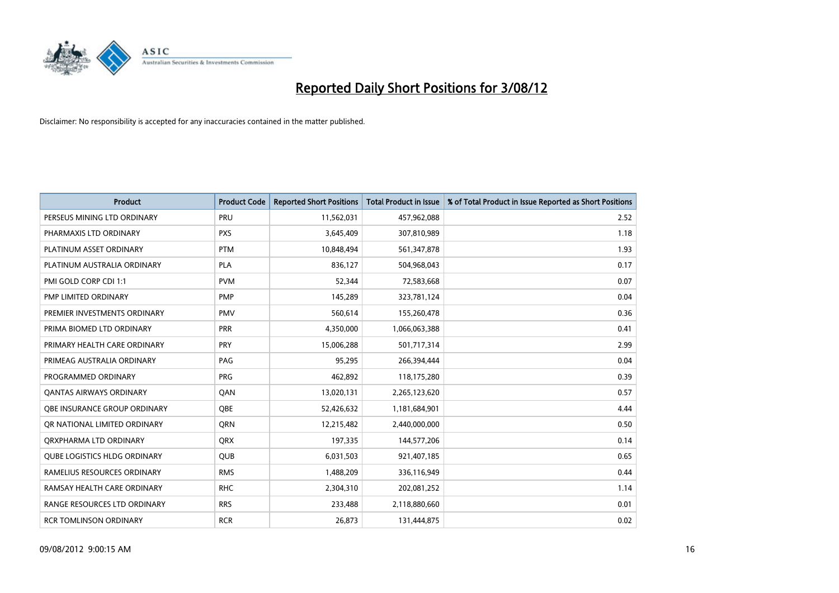

| <b>Product</b>                      | <b>Product Code</b> | <b>Reported Short Positions</b> | <b>Total Product in Issue</b> | % of Total Product in Issue Reported as Short Positions |
|-------------------------------------|---------------------|---------------------------------|-------------------------------|---------------------------------------------------------|
| PERSEUS MINING LTD ORDINARY         | PRU                 | 11,562,031                      | 457,962,088                   | 2.52                                                    |
| PHARMAXIS LTD ORDINARY              | <b>PXS</b>          | 3,645,409                       | 307,810,989                   | 1.18                                                    |
| PLATINUM ASSET ORDINARY             | <b>PTM</b>          | 10,848,494                      | 561,347,878                   | 1.93                                                    |
| PLATINUM AUSTRALIA ORDINARY         | <b>PLA</b>          | 836,127                         | 504,968,043                   | 0.17                                                    |
| PMI GOLD CORP CDI 1:1               | <b>PVM</b>          | 52,344                          | 72,583,668                    | 0.07                                                    |
| PMP LIMITED ORDINARY                | <b>PMP</b>          | 145,289                         | 323,781,124                   | 0.04                                                    |
| PREMIER INVESTMENTS ORDINARY        | <b>PMV</b>          | 560,614                         | 155,260,478                   | 0.36                                                    |
| PRIMA BIOMED LTD ORDINARY           | <b>PRR</b>          | 4,350,000                       | 1,066,063,388                 | 0.41                                                    |
| PRIMARY HEALTH CARE ORDINARY        | PRY                 | 15,006,288                      | 501,717,314                   | 2.99                                                    |
| PRIMEAG AUSTRALIA ORDINARY          | PAG                 | 95,295                          | 266,394,444                   | 0.04                                                    |
| PROGRAMMED ORDINARY                 | <b>PRG</b>          | 462,892                         | 118,175,280                   | 0.39                                                    |
| <b>QANTAS AIRWAYS ORDINARY</b>      | QAN                 | 13,020,131                      | 2,265,123,620                 | 0.57                                                    |
| <b>OBE INSURANCE GROUP ORDINARY</b> | <b>OBE</b>          | 52,426,632                      | 1,181,684,901                 | 4.44                                                    |
| OR NATIONAL LIMITED ORDINARY        | <b>ORN</b>          | 12,215,482                      | 2,440,000,000                 | 0.50                                                    |
| ORXPHARMA LTD ORDINARY              | <b>ORX</b>          | 197,335                         | 144,577,206                   | 0.14                                                    |
| <b>QUBE LOGISTICS HLDG ORDINARY</b> | QUB                 | 6,031,503                       | 921,407,185                   | 0.65                                                    |
| RAMELIUS RESOURCES ORDINARY         | <b>RMS</b>          | 1,488,209                       | 336,116,949                   | 0.44                                                    |
| RAMSAY HEALTH CARE ORDINARY         | <b>RHC</b>          | 2,304,310                       | 202,081,252                   | 1.14                                                    |
| RANGE RESOURCES LTD ORDINARY        | <b>RRS</b>          | 233,488                         | 2,118,880,660                 | 0.01                                                    |
| <b>RCR TOMLINSON ORDINARY</b>       | <b>RCR</b>          | 26,873                          | 131,444,875                   | 0.02                                                    |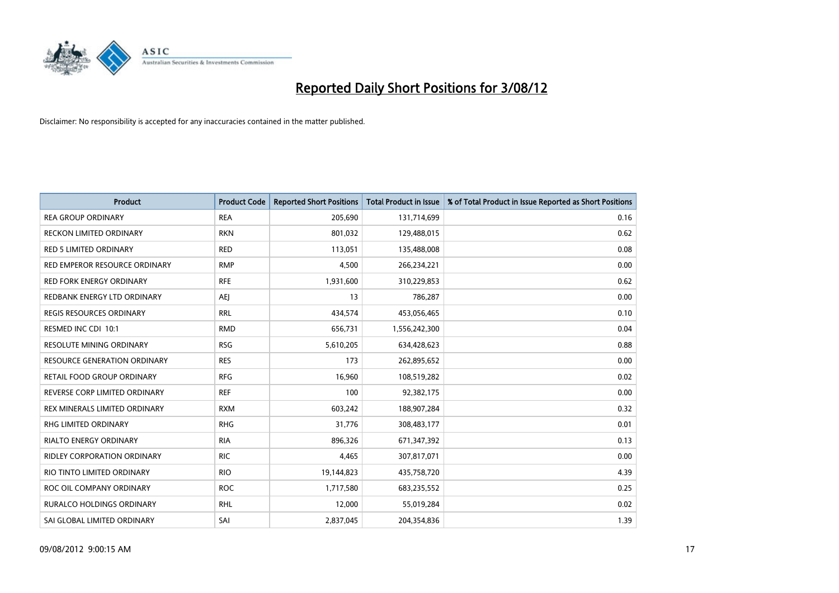

| <b>Product</b>                      | <b>Product Code</b> | <b>Reported Short Positions</b> | <b>Total Product in Issue</b> | % of Total Product in Issue Reported as Short Positions |
|-------------------------------------|---------------------|---------------------------------|-------------------------------|---------------------------------------------------------|
| <b>REA GROUP ORDINARY</b>           | <b>REA</b>          | 205,690                         | 131,714,699                   | 0.16                                                    |
| RECKON LIMITED ORDINARY             | <b>RKN</b>          | 801,032                         | 129,488,015                   | 0.62                                                    |
| <b>RED 5 LIMITED ORDINARY</b>       | <b>RED</b>          | 113,051                         | 135,488,008                   | 0.08                                                    |
| RED EMPEROR RESOURCE ORDINARY       | <b>RMP</b>          | 4,500                           | 266,234,221                   | 0.00                                                    |
| <b>RED FORK ENERGY ORDINARY</b>     | <b>RFE</b>          | 1,931,600                       | 310,229,853                   | 0.62                                                    |
| REDBANK ENERGY LTD ORDINARY         | AEJ                 | 13                              | 786,287                       | 0.00                                                    |
| <b>REGIS RESOURCES ORDINARY</b>     | <b>RRL</b>          | 434,574                         | 453,056,465                   | 0.10                                                    |
| RESMED INC CDI 10:1                 | <b>RMD</b>          | 656,731                         | 1,556,242,300                 | 0.04                                                    |
| RESOLUTE MINING ORDINARY            | <b>RSG</b>          | 5,610,205                       | 634,428,623                   | 0.88                                                    |
| <b>RESOURCE GENERATION ORDINARY</b> | <b>RES</b>          | 173                             | 262,895,652                   | 0.00                                                    |
| RETAIL FOOD GROUP ORDINARY          | <b>RFG</b>          | 16,960                          | 108,519,282                   | 0.02                                                    |
| REVERSE CORP LIMITED ORDINARY       | <b>REF</b>          | 100                             | 92,382,175                    | 0.00                                                    |
| REX MINERALS LIMITED ORDINARY       | <b>RXM</b>          | 603,242                         | 188,907,284                   | 0.32                                                    |
| <b>RHG LIMITED ORDINARY</b>         | <b>RHG</b>          | 31,776                          | 308,483,177                   | 0.01                                                    |
| <b>RIALTO ENERGY ORDINARY</b>       | <b>RIA</b>          | 896,326                         | 671,347,392                   | 0.13                                                    |
| RIDLEY CORPORATION ORDINARY         | <b>RIC</b>          | 4,465                           | 307,817,071                   | 0.00                                                    |
| RIO TINTO LIMITED ORDINARY          | <b>RIO</b>          | 19,144,823                      | 435,758,720                   | 4.39                                                    |
| ROC OIL COMPANY ORDINARY            | <b>ROC</b>          | 1,717,580                       | 683,235,552                   | 0.25                                                    |
| <b>RURALCO HOLDINGS ORDINARY</b>    | <b>RHL</b>          | 12,000                          | 55,019,284                    | 0.02                                                    |
| SAI GLOBAL LIMITED ORDINARY         | SAI                 | 2,837,045                       | 204,354,836                   | 1.39                                                    |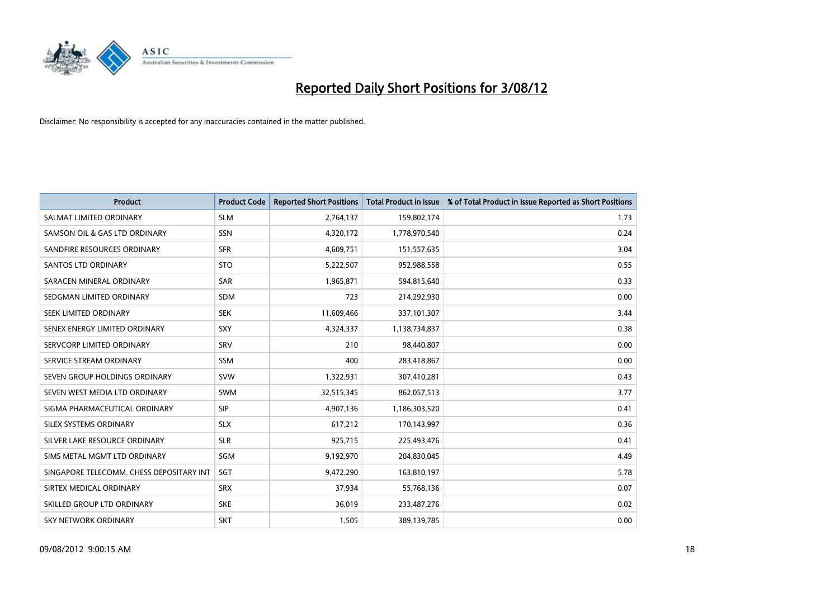

| <b>Product</b>                           | <b>Product Code</b> | <b>Reported Short Positions</b> | <b>Total Product in Issue</b> | % of Total Product in Issue Reported as Short Positions |
|------------------------------------------|---------------------|---------------------------------|-------------------------------|---------------------------------------------------------|
| SALMAT LIMITED ORDINARY                  | <b>SLM</b>          | 2,764,137                       | 159,802,174                   | 1.73                                                    |
| SAMSON OIL & GAS LTD ORDINARY            | <b>SSN</b>          | 4,320,172                       | 1,778,970,540                 | 0.24                                                    |
| SANDFIRE RESOURCES ORDINARY              | <b>SFR</b>          | 4,609,751                       | 151,557,635                   | 3.04                                                    |
| <b>SANTOS LTD ORDINARY</b>               | <b>STO</b>          | 5,222,507                       | 952,988,558                   | 0.55                                                    |
| SARACEN MINERAL ORDINARY                 | SAR                 | 1,965,871                       | 594,815,640                   | 0.33                                                    |
| SEDGMAN LIMITED ORDINARY                 | <b>SDM</b>          | 723                             | 214,292,930                   | 0.00                                                    |
| SEEK LIMITED ORDINARY                    | <b>SEK</b>          | 11,609,466                      | 337,101,307                   | 3.44                                                    |
| SENEX ENERGY LIMITED ORDINARY            | SXY                 | 4,324,337                       | 1,138,734,837                 | 0.38                                                    |
| SERVCORP LIMITED ORDINARY                | SRV                 | 210                             | 98,440,807                    | 0.00                                                    |
| SERVICE STREAM ORDINARY                  | <b>SSM</b>          | 400                             | 283,418,867                   | 0.00                                                    |
| SEVEN GROUP HOLDINGS ORDINARY            | <b>SVW</b>          | 1,322,931                       | 307,410,281                   | 0.43                                                    |
| SEVEN WEST MEDIA LTD ORDINARY            | <b>SWM</b>          | 32,515,345                      | 862,057,513                   | 3.77                                                    |
| SIGMA PHARMACEUTICAL ORDINARY            | <b>SIP</b>          | 4,907,136                       | 1,186,303,520                 | 0.41                                                    |
| SILEX SYSTEMS ORDINARY                   | <b>SLX</b>          | 617,212                         | 170,143,997                   | 0.36                                                    |
| SILVER LAKE RESOURCE ORDINARY            | <b>SLR</b>          | 925,715                         | 225,493,476                   | 0.41                                                    |
| SIMS METAL MGMT LTD ORDINARY             | SGM                 | 9,192,970                       | 204,830,045                   | 4.49                                                    |
| SINGAPORE TELECOMM. CHESS DEPOSITARY INT | SGT                 | 9,472,290                       | 163,810,197                   | 5.78                                                    |
| SIRTEX MEDICAL ORDINARY                  | <b>SRX</b>          | 37,934                          | 55,768,136                    | 0.07                                                    |
| SKILLED GROUP LTD ORDINARY               | <b>SKE</b>          | 36,019                          | 233,487,276                   | 0.02                                                    |
| <b>SKY NETWORK ORDINARY</b>              | <b>SKT</b>          | 1,505                           | 389,139,785                   | 0.00                                                    |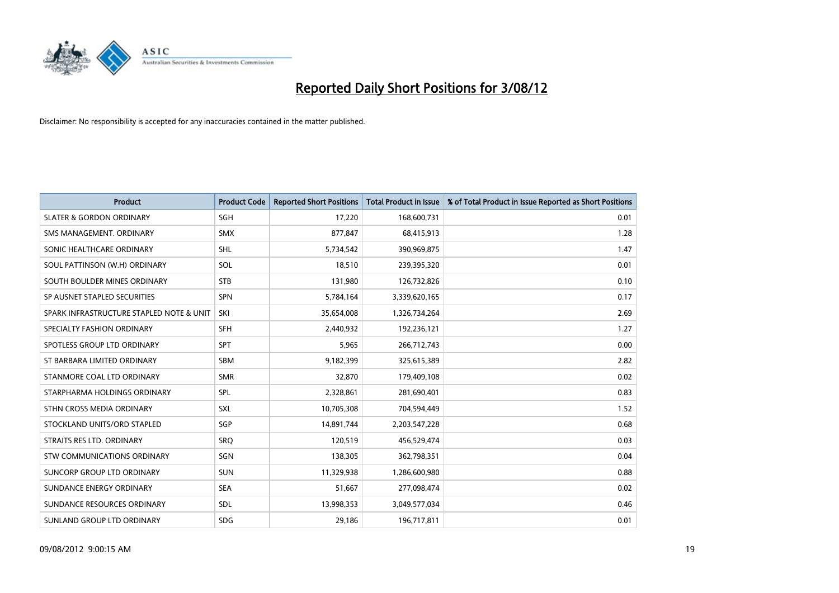

| <b>Product</b>                           | <b>Product Code</b> | <b>Reported Short Positions</b> | <b>Total Product in Issue</b> | % of Total Product in Issue Reported as Short Positions |
|------------------------------------------|---------------------|---------------------------------|-------------------------------|---------------------------------------------------------|
| <b>SLATER &amp; GORDON ORDINARY</b>      | <b>SGH</b>          | 17,220                          | 168,600,731                   | 0.01                                                    |
| SMS MANAGEMENT, ORDINARY                 | <b>SMX</b>          | 877,847                         | 68,415,913                    | 1.28                                                    |
| SONIC HEALTHCARE ORDINARY                | <b>SHL</b>          | 5,734,542                       | 390,969,875                   | 1.47                                                    |
| SOUL PATTINSON (W.H) ORDINARY            | SOL                 | 18,510                          | 239,395,320                   | 0.01                                                    |
| SOUTH BOULDER MINES ORDINARY             | <b>STB</b>          | 131,980                         | 126,732,826                   | 0.10                                                    |
| SP AUSNET STAPLED SECURITIES             | <b>SPN</b>          | 5,784,164                       | 3,339,620,165                 | 0.17                                                    |
| SPARK INFRASTRUCTURE STAPLED NOTE & UNIT | SKI                 | 35,654,008                      | 1,326,734,264                 | 2.69                                                    |
| SPECIALTY FASHION ORDINARY               | <b>SFH</b>          | 2,440,932                       | 192,236,121                   | 1.27                                                    |
| SPOTLESS GROUP LTD ORDINARY              | SPT                 | 5,965                           | 266,712,743                   | 0.00                                                    |
| ST BARBARA LIMITED ORDINARY              | <b>SBM</b>          | 9,182,399                       | 325,615,389                   | 2.82                                                    |
| STANMORE COAL LTD ORDINARY               | <b>SMR</b>          | 32,870                          | 179,409,108                   | 0.02                                                    |
| STARPHARMA HOLDINGS ORDINARY             | SPL                 | 2,328,861                       | 281,690,401                   | 0.83                                                    |
| STHN CROSS MEDIA ORDINARY                | <b>SXL</b>          | 10,705,308                      | 704,594,449                   | 1.52                                                    |
| STOCKLAND UNITS/ORD STAPLED              | <b>SGP</b>          | 14,891,744                      | 2,203,547,228                 | 0.68                                                    |
| STRAITS RES LTD. ORDINARY                | SRO                 | 120,519                         | 456,529,474                   | 0.03                                                    |
| STW COMMUNICATIONS ORDINARY              | SGN                 | 138,305                         | 362,798,351                   | 0.04                                                    |
| SUNCORP GROUP LTD ORDINARY               | <b>SUN</b>          | 11,329,938                      | 1,286,600,980                 | 0.88                                                    |
| SUNDANCE ENERGY ORDINARY                 | <b>SEA</b>          | 51,667                          | 277,098,474                   | 0.02                                                    |
| SUNDANCE RESOURCES ORDINARY              | <b>SDL</b>          | 13,998,353                      | 3,049,577,034                 | 0.46                                                    |
| SUNLAND GROUP LTD ORDINARY               | <b>SDG</b>          | 29,186                          | 196,717,811                   | 0.01                                                    |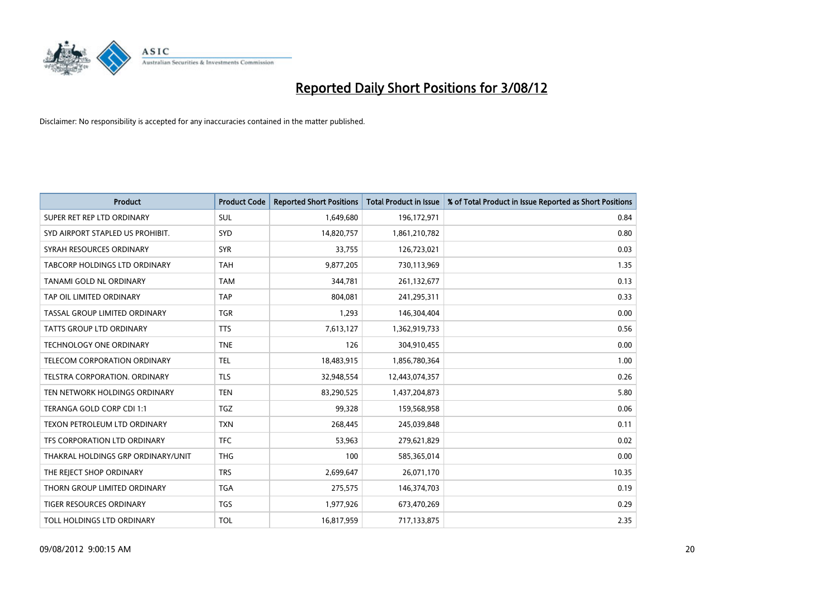

| <b>Product</b>                     | <b>Product Code</b> | <b>Reported Short Positions</b> | <b>Total Product in Issue</b> | % of Total Product in Issue Reported as Short Positions |
|------------------------------------|---------------------|---------------------------------|-------------------------------|---------------------------------------------------------|
| SUPER RET REP LTD ORDINARY         | <b>SUL</b>          | 1,649,680                       | 196,172,971                   | 0.84                                                    |
| SYD AIRPORT STAPLED US PROHIBIT.   | <b>SYD</b>          | 14,820,757                      | 1,861,210,782                 | 0.80                                                    |
| SYRAH RESOURCES ORDINARY           | <b>SYR</b>          | 33,755                          | 126,723,021                   | 0.03                                                    |
| TABCORP HOLDINGS LTD ORDINARY      | <b>TAH</b>          | 9,877,205                       | 730,113,969                   | 1.35                                                    |
| TANAMI GOLD NL ORDINARY            | <b>TAM</b>          | 344,781                         | 261,132,677                   | 0.13                                                    |
| TAP OIL LIMITED ORDINARY           | <b>TAP</b>          | 804,081                         | 241,295,311                   | 0.33                                                    |
| TASSAL GROUP LIMITED ORDINARY      | <b>TGR</b>          | 1,293                           | 146,304,404                   | 0.00                                                    |
| TATTS GROUP LTD ORDINARY           | <b>TTS</b>          | 7,613,127                       | 1,362,919,733                 | 0.56                                                    |
| <b>TECHNOLOGY ONE ORDINARY</b>     | <b>TNE</b>          | 126                             | 304,910,455                   | 0.00                                                    |
| TELECOM CORPORATION ORDINARY       | <b>TEL</b>          | 18,483,915                      | 1,856,780,364                 | 1.00                                                    |
| TELSTRA CORPORATION. ORDINARY      | <b>TLS</b>          | 32,948,554                      | 12,443,074,357                | 0.26                                                    |
| TEN NETWORK HOLDINGS ORDINARY      | <b>TEN</b>          | 83,290,525                      | 1,437,204,873                 | 5.80                                                    |
| TERANGA GOLD CORP CDI 1:1          | <b>TGZ</b>          | 99,328                          | 159,568,958                   | 0.06                                                    |
| TEXON PETROLEUM LTD ORDINARY       | <b>TXN</b>          | 268,445                         | 245,039,848                   | 0.11                                                    |
| TFS CORPORATION LTD ORDINARY       | <b>TFC</b>          | 53,963                          | 279,621,829                   | 0.02                                                    |
| THAKRAL HOLDINGS GRP ORDINARY/UNIT | <b>THG</b>          | 100                             | 585,365,014                   | 0.00                                                    |
| THE REJECT SHOP ORDINARY           | <b>TRS</b>          | 2,699,647                       | 26,071,170                    | 10.35                                                   |
| THORN GROUP LIMITED ORDINARY       | <b>TGA</b>          | 275,575                         | 146,374,703                   | 0.19                                                    |
| TIGER RESOURCES ORDINARY           | <b>TGS</b>          | 1,977,926                       | 673,470,269                   | 0.29                                                    |
| TOLL HOLDINGS LTD ORDINARY         | <b>TOL</b>          | 16,817,959                      | 717,133,875                   | 2.35                                                    |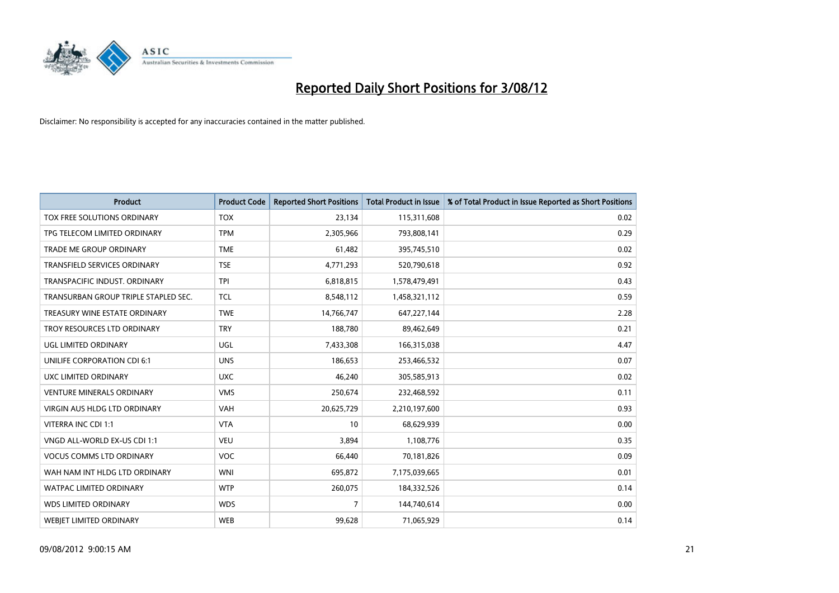

| <b>Product</b>                       | <b>Product Code</b> | <b>Reported Short Positions</b> | <b>Total Product in Issue</b> | % of Total Product in Issue Reported as Short Positions |
|--------------------------------------|---------------------|---------------------------------|-------------------------------|---------------------------------------------------------|
| TOX FREE SOLUTIONS ORDINARY          | <b>TOX</b>          | 23,134                          | 115,311,608                   | 0.02                                                    |
| TPG TELECOM LIMITED ORDINARY         | <b>TPM</b>          | 2,305,966                       | 793,808,141                   | 0.29                                                    |
| TRADE ME GROUP ORDINARY              | <b>TME</b>          | 61,482                          | 395,745,510                   | 0.02                                                    |
| TRANSFIELD SERVICES ORDINARY         | <b>TSE</b>          | 4,771,293                       | 520,790,618                   | 0.92                                                    |
| TRANSPACIFIC INDUST, ORDINARY        | <b>TPI</b>          | 6,818,815                       | 1,578,479,491                 | 0.43                                                    |
| TRANSURBAN GROUP TRIPLE STAPLED SEC. | <b>TCL</b>          | 8,548,112                       | 1,458,321,112                 | 0.59                                                    |
| TREASURY WINE ESTATE ORDINARY        | <b>TWE</b>          | 14,766,747                      | 647,227,144                   | 2.28                                                    |
| TROY RESOURCES LTD ORDINARY          | <b>TRY</b>          | 188,780                         | 89,462,649                    | 0.21                                                    |
| UGL LIMITED ORDINARY                 | UGL                 | 7,433,308                       | 166,315,038                   | 4.47                                                    |
| UNILIFE CORPORATION CDI 6:1          | <b>UNS</b>          | 186,653                         | 253,466,532                   | 0.07                                                    |
| UXC LIMITED ORDINARY                 | <b>UXC</b>          | 46,240                          | 305,585,913                   | 0.02                                                    |
| <b>VENTURE MINERALS ORDINARY</b>     | <b>VMS</b>          | 250,674                         | 232,468,592                   | 0.11                                                    |
| <b>VIRGIN AUS HLDG LTD ORDINARY</b>  | <b>VAH</b>          | 20,625,729                      | 2,210,197,600                 | 0.93                                                    |
| VITERRA INC CDI 1:1                  | <b>VTA</b>          | 10                              | 68,629,939                    | 0.00                                                    |
| VNGD ALL-WORLD EX-US CDI 1:1         | <b>VEU</b>          | 3,894                           | 1,108,776                     | 0.35                                                    |
| <b>VOCUS COMMS LTD ORDINARY</b>      | <b>VOC</b>          | 66,440                          | 70,181,826                    | 0.09                                                    |
| WAH NAM INT HLDG LTD ORDINARY        | <b>WNI</b>          | 695,872                         | 7,175,039,665                 | 0.01                                                    |
| WATPAC LIMITED ORDINARY              | <b>WTP</b>          | 260,075                         | 184,332,526                   | 0.14                                                    |
| <b>WDS LIMITED ORDINARY</b>          | <b>WDS</b>          | 7                               | 144,740,614                   | 0.00                                                    |
| <b>WEBIET LIMITED ORDINARY</b>       | <b>WEB</b>          | 99,628                          | 71,065,929                    | 0.14                                                    |